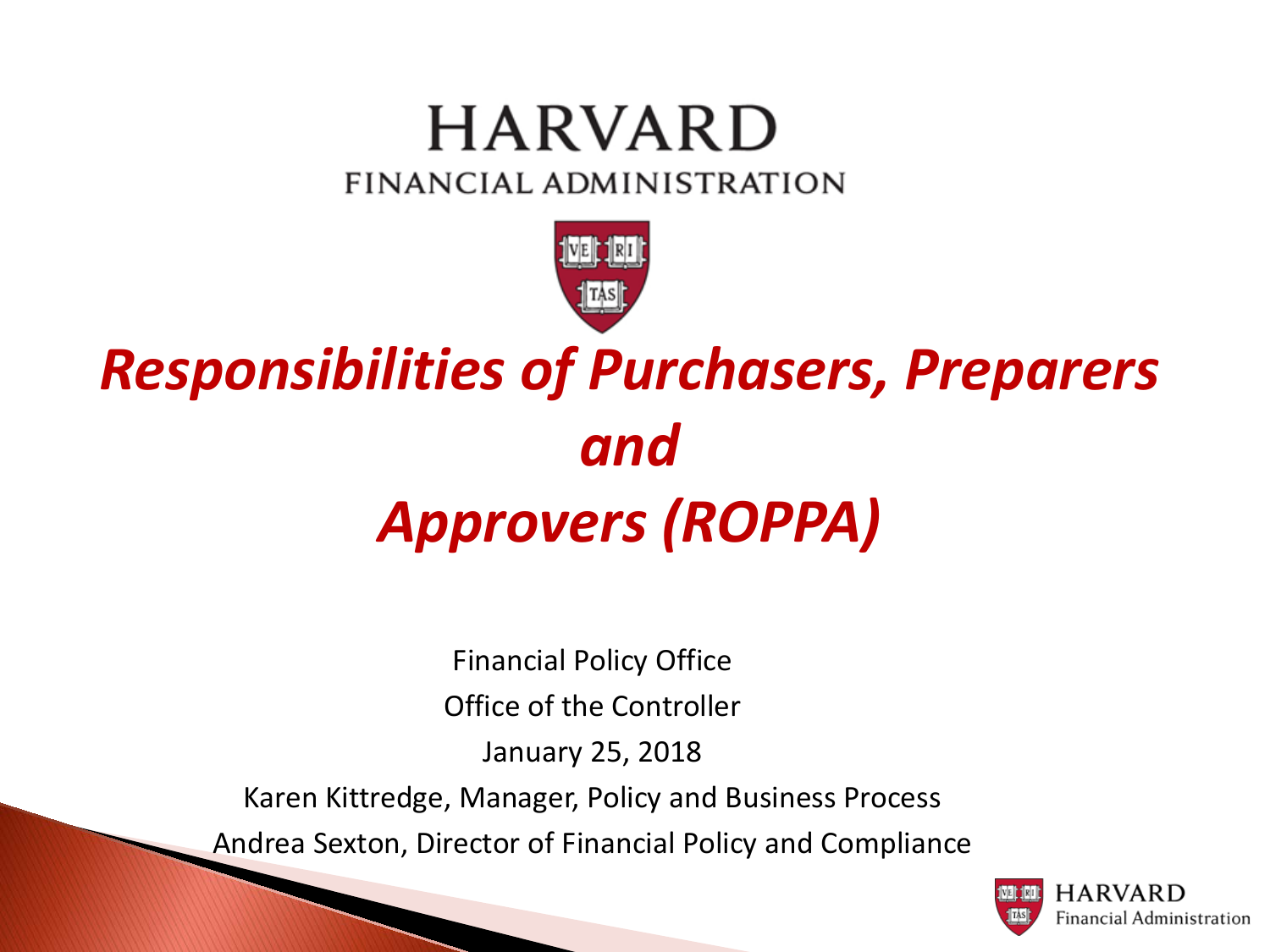### **HARVARD** FINANCIAL ADMINISTRATION



## *Responsibilities of Purchasers, Preparers and Approvers (ROPPA)*

Financial Policy Office Office of the Controller January 25, 2018 Karen Kittredge, Manager, Policy and Business Process Andrea Sexton, Director of Financial Policy and Compliance

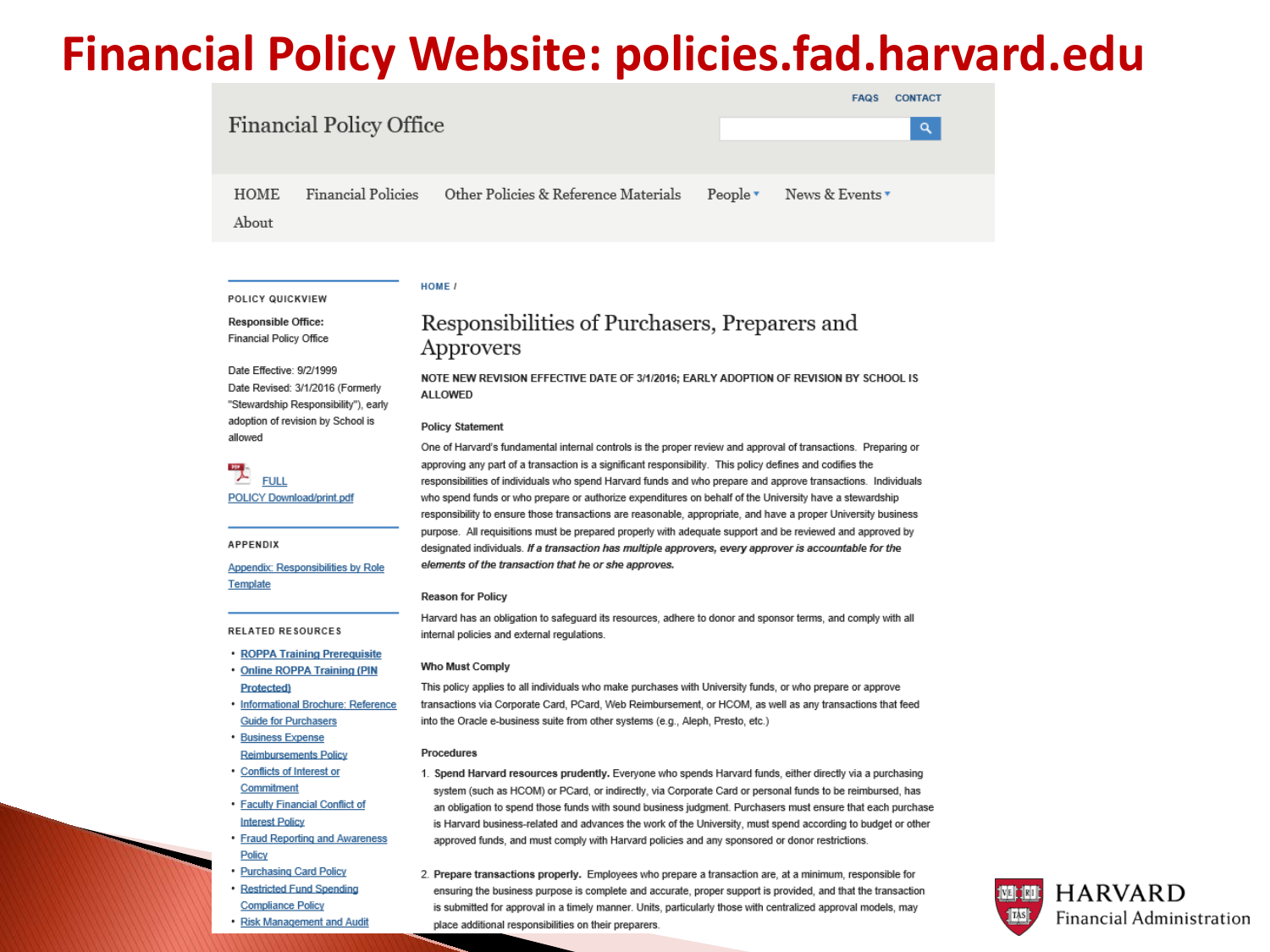### **Financial Policy Website: policies.fad.harvard.edu**

| <b>Financial Policy Office</b> |                    |                                      |                        | <b>FAQS</b>     | <b>CONTACT</b><br>$\alpha$ |
|--------------------------------|--------------------|--------------------------------------|------------------------|-----------------|----------------------------|
| HOME<br>$A$ <sub>hout</sub>    | Financial Policies | Other Policies & Reference Materials | $People \triangledown$ | News & Events ▼ |                            |

### HOME /

POLICY QUICKVIEW **Responsible Office: Financial Policy Office** 

Date Effective: 9/2/1999 Date Revised: 3/1/2016 (Formerly "Stewardship Responsibility"), early adoption of revision by School is allowed

**FULL** POLICY Download/print.pdf

**APPENDIX** 

Appendix: Responsibilities by Role Template

RELATED RESOURCES

- ROPPA Training Prerequisite
- Online ROPPA Training (PIN **Protected**
- · Informational Brochure: Reference **Guide for Purchasers**
- · Business Expense
- **Reimbursements Policy** • Conflicts of Interest or
- Commitment • Faculty Financial Conflict of **Interest Policy**
- Fraud Reporting and Awareness Policy
- Purchasing Card Policy • Restricted Fund Spending **Compliance Policy**
- Risk Management and Audit

### Responsibilities of Purchasers, Preparers and Approvers

NOTE NEW REVISION EFFECTIVE DATE OF 3/1/2016: EARLY ADOPTION OF REVISION BY SCHOOL IS **ALLOWED** 

### **Policy Statement**

One of Harvard's fundamental internal controls is the proper review and approval of transactions. Preparing or approving any part of a transaction is a significant responsibility. This policy defines and codifies the responsibilities of individuals who spend Harvard funds and who prepare and approve transactions. Individuals who spend funds or who prepare or authorize expenditures on behalf of the University have a stewardship responsibility to ensure those transactions are reasonable, appropriate, and have a proper University business purpose. All requisitions must be prepared properly with adequate support and be reviewed and approved by designated individuals. If a transaction has multiple approvers, every approver is accountable for the elements of the transaction that he or she approves.

### **Reason for Policy**

Harvard has an obligation to safeguard its resources, adhere to donor and sponsor terms, and comply with all internal policies and external regulations.

### **Who Must Comply**

This policy applies to all individuals who make purchases with University funds, or who prepare or approve transactions via Corporate Card, PCard, Web Reimbursement, or HCOM, as well as any transactions that feed into the Oracle e-business suite from other systems (e.g., Aleph, Presto, etc.)

### Procedures

- 1. Spend Harvard resources prudently. Everyone who spends Harvard funds, either directly via a purchasing system (such as HCOM) or PCard, or indirectly, via Corporate Card or personal funds to be reimbursed, has an obligation to spend those funds with sound business judgment. Purchasers must ensure that each purchase is Harvard business-related and advances the work of the University, must spend according to budget or other approved funds, and must comply with Harvard policies and any sponsored or donor restrictions.
- 2. Prepare transactions properly. Employees who prepare a transaction are, at a minimum, responsible for ensuring the business purpose is complete and accurate, proper support is provided, and that the transaction is submitted for approval in a timely manner. Units, particularly those with centralized approval models, may place additional responsibilities on their preparers.

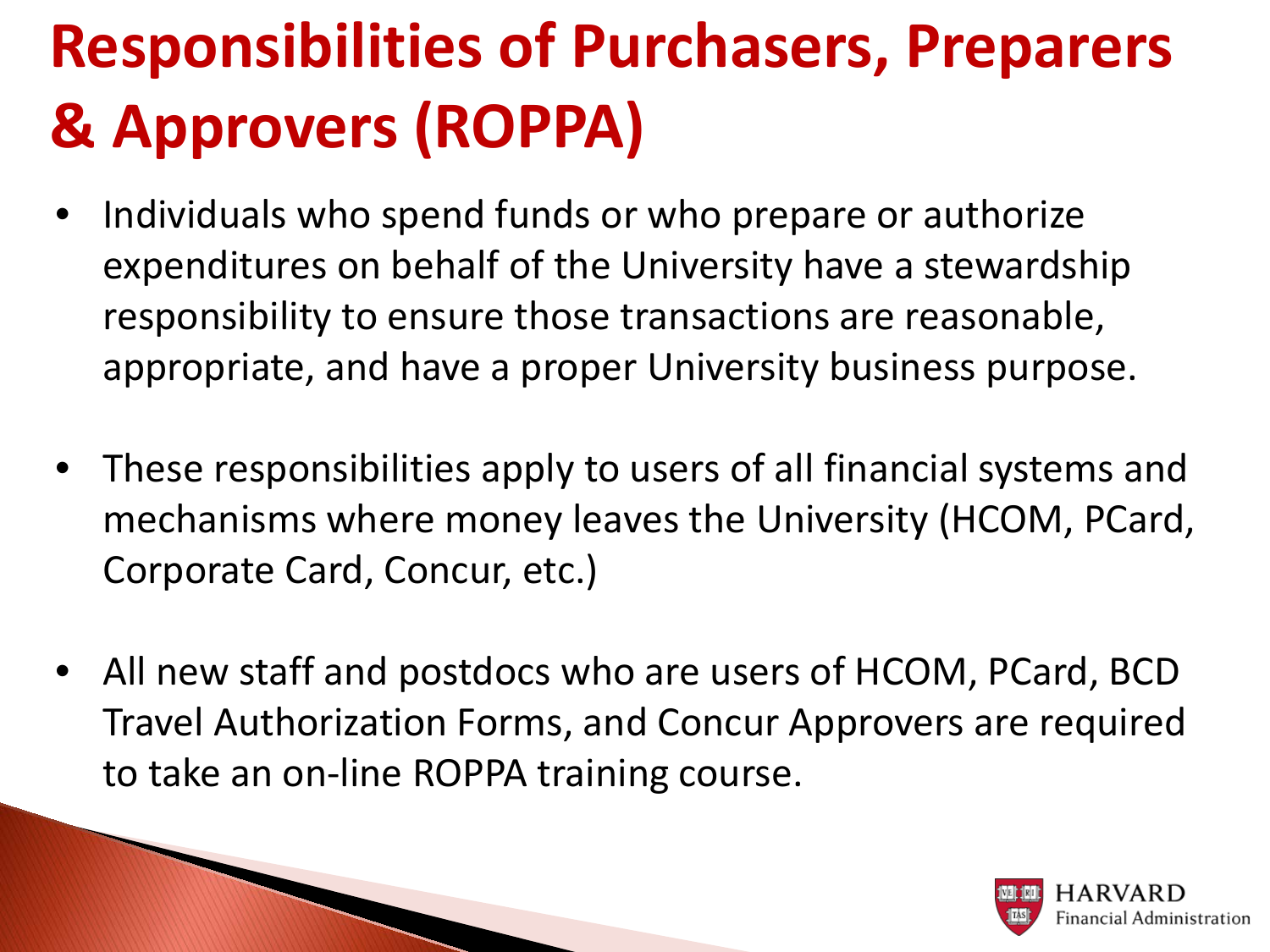# **Responsibilities of Purchasers, Preparers & Approvers (ROPPA)**

- Individuals who spend funds or who prepare or authorize expenditures on behalf of the University have a stewardship responsibility to ensure those transactions are reasonable, appropriate, and have a proper University business purpose.
- These responsibilities apply to users of all financial systems and mechanisms where money leaves the University (HCOM, PCard, Corporate Card, Concur, etc.)
- All new staff and postdocs who are users of HCOM, PCard, BCD Travel Authorization Forms, and Concur Approvers are required to take an on-line ROPPA training course.

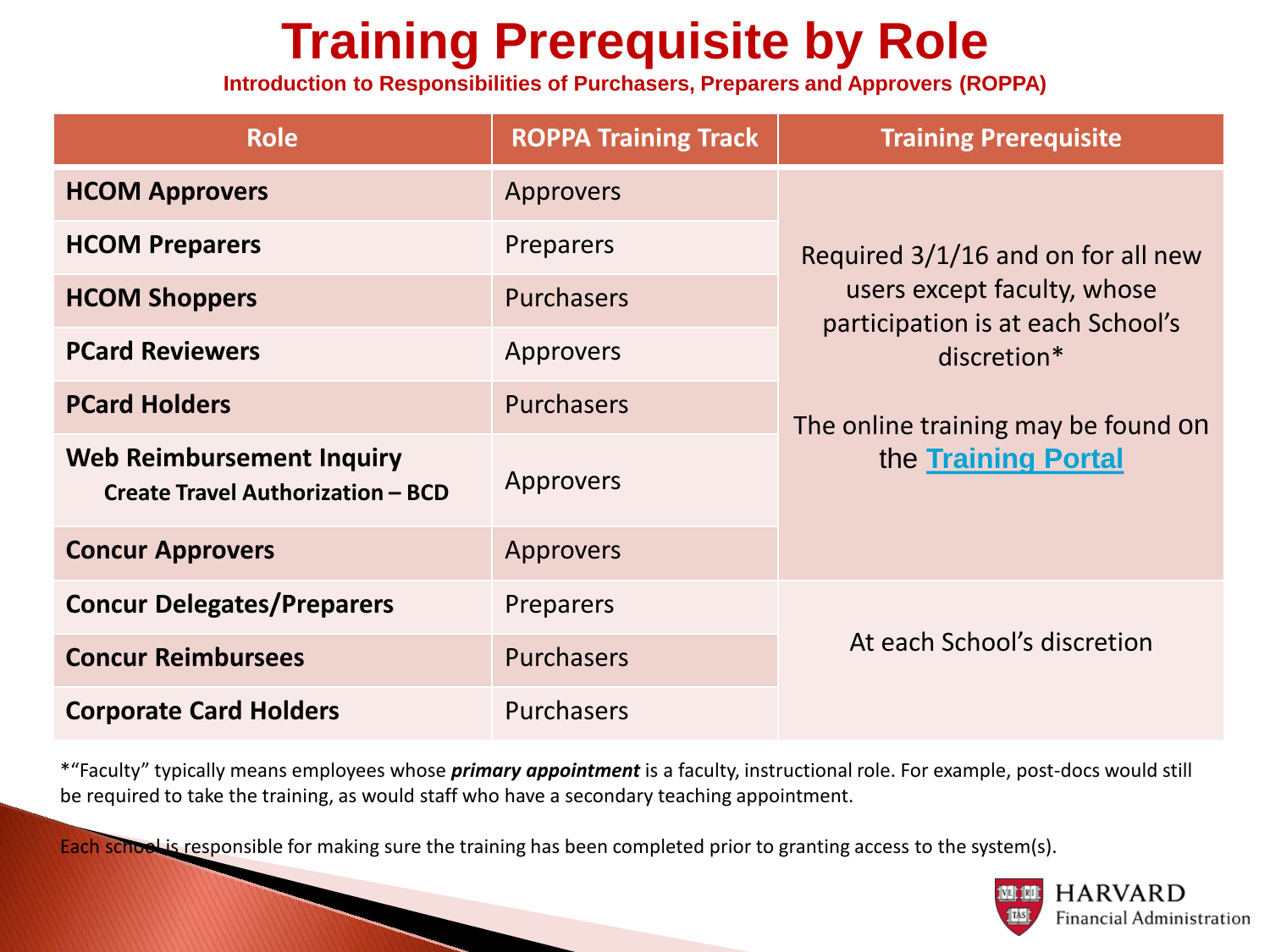### **Training Prerequisite by Role**

**Introduction to Responsibilities of Purchasers, Preparers and Approvers (ROPPA)**

| <b>Role</b>                                                                  | <b>ROPPA Training Track</b> | <b>Training Prerequisite</b>                                     |  |
|------------------------------------------------------------------------------|-----------------------------|------------------------------------------------------------------|--|
| <b>HCOM Approvers</b>                                                        | Approvers                   |                                                                  |  |
| <b>HCOM Preparers</b>                                                        | Preparers                   | Required 3/1/16 and on for all new                               |  |
| <b>HCOM Shoppers</b>                                                         | <b>Purchasers</b>           | users except faculty, whose<br>participation is at each School's |  |
| <b>PCard Reviewers</b>                                                       | Approvers                   | discretion*                                                      |  |
| <b>PCard Holders</b>                                                         | <b>Purchasers</b>           | The online training may be found on                              |  |
| <b>Web Reimbursement Inquiry</b><br><b>Create Travel Authorization - BCD</b> | Approvers                   | the Training Portal                                              |  |
| <b>Concur Approvers</b>                                                      | Approvers                   |                                                                  |  |
| <b>Concur Delegates/Preparers</b>                                            | <b>Preparers</b>            |                                                                  |  |
| <b>Concur Reimbursees</b>                                                    | <b>Purchasers</b>           | At each School's discretion                                      |  |
| <b>Corporate Card Holders</b>                                                | <b>Purchasers</b>           |                                                                  |  |

\*"Faculty" typically means employees whose *primary appointment* is a faculty, instructional role. For example, post-docs would still be required to take the training, as would staff who have a secondary teaching appointment.

Each school is responsible for making sure the training has been completed prior to granting access to the system(s).

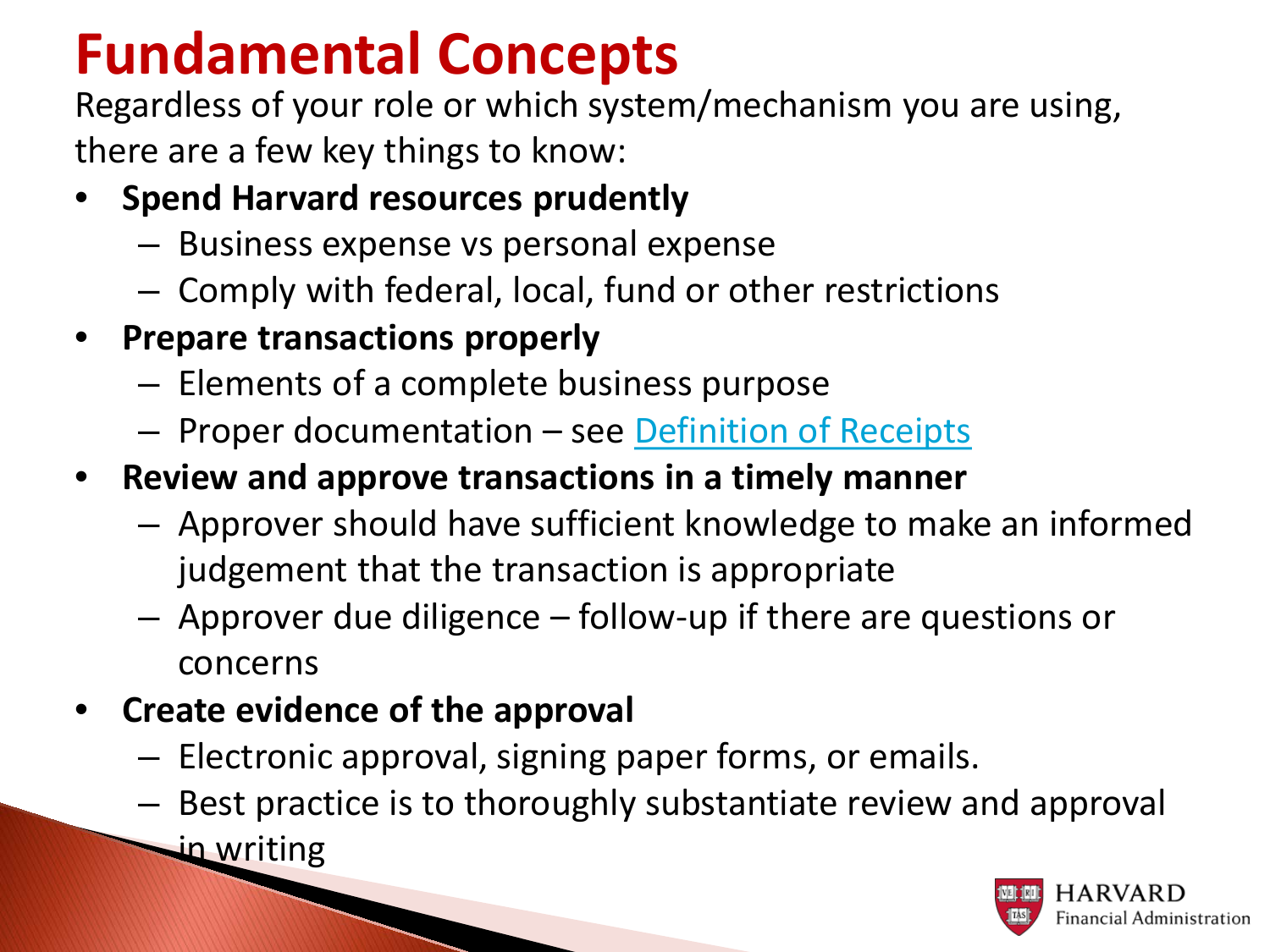### **Fundamental Concepts**

Regardless of your role or which system/mechanism you are using, there are a few key things to know:

### • **Spend Harvard resources prudently**

- Business expense vs personal expense
- Comply with federal, local, fund or other restrictions
- **Prepare transactions properly**
	- Elements of a complete business purpose
	- Proper documentation see [Definition of Receipts](https://policies.fad.harvard.edu/files/fad_policies/files/receipt_definitions_website.pdf)
- **Review and approve transactions in a timely manner**
	- Approver should have sufficient knowledge to make an informed judgement that the transaction is appropriate
	- Approver due diligence follow-up if there are questions or concerns
- **Create evidence of the approval**

- Electronic approval, signing paper forms, or emails.
- Best practice is to thoroughly substantiate review and approval
	- in writing

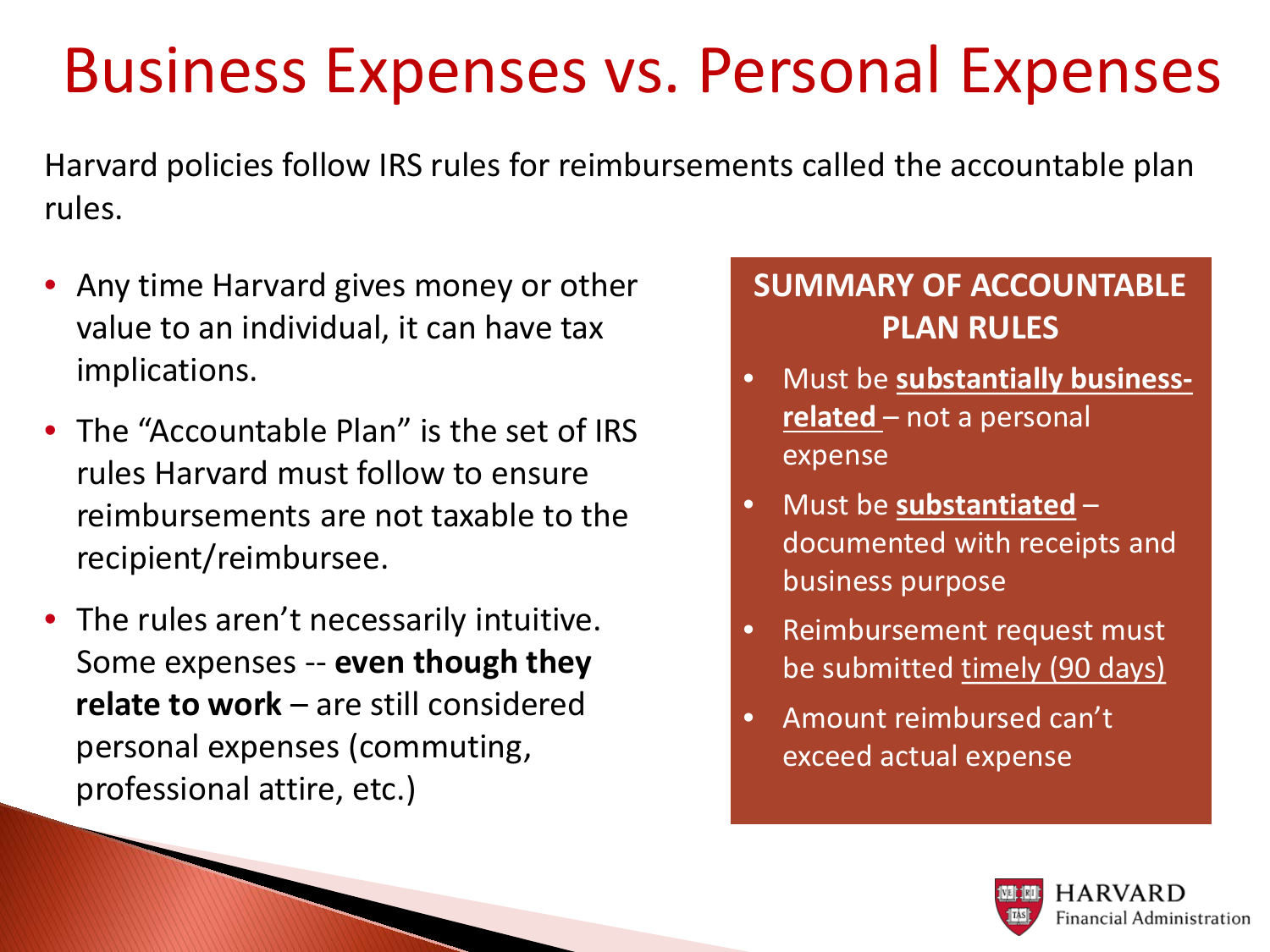## Business Expenses vs. Personal Expenses

Harvard policies follow IRS rules for reimbursements called the accountable plan rules.

- Any time Harvard gives money or other value to an individual, it can have tax implications.
- The "Accountable Plan" is the set of IRS rules Harvard must follow to ensure reimbursements are not taxable to the recipient/reimbursee.
- The rules aren't necessarily intuitive. Some expenses -- **even though they relate to work** – are still considered personal expenses (commuting, professional attire, etc.)

### **SUMMARY OF ACCOUNTABLE PLAN RULES**

- Must be **substantially businessrelated** – not a personal expense
- Must be **substantiated** documented with receipts and business purpose
- Reimbursement request must be submitted timely (90 days)
- Amount reimbursed can't exceed actual expense

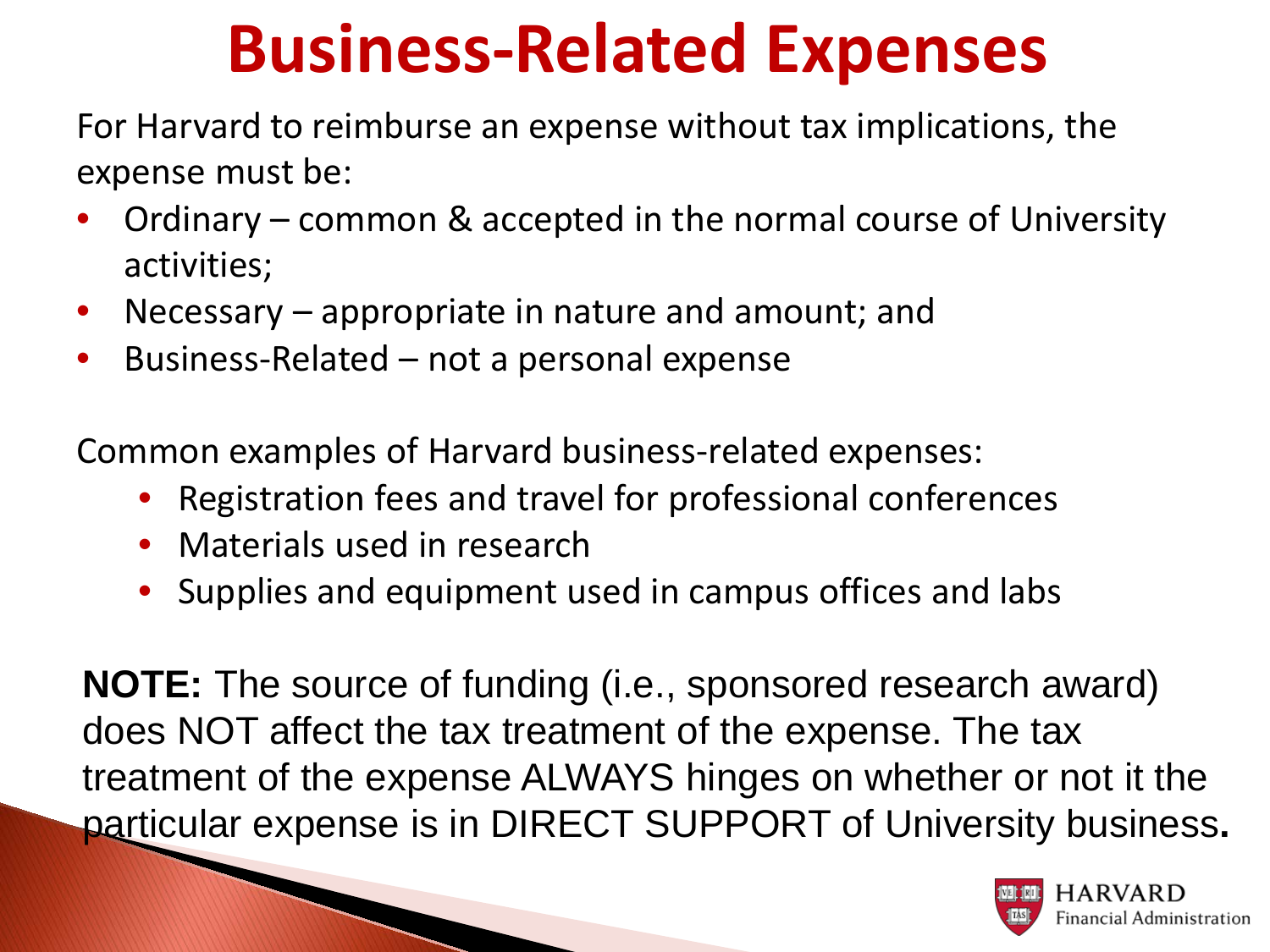# **Business-Related Expenses**

For Harvard to reimburse an expense without tax implications, the expense must be:

- Ordinary common & accepted in the normal course of University activities;
- Necessary appropriate in nature and amount; and
- Business-Related not a personal expense

Common examples of Harvard business-related expenses:

- Registration fees and travel for professional conferences
- Materials used in research
- Supplies and equipment used in campus offices and labs

**NOTE:** The source of funding (i.e., sponsored research award) does NOT affect the tax treatment of the expense. The tax treatment of the expense ALWAYS hinges on whether or not it the particular expense is in DIRECT SUPPORT of University business.<br> **Particular expense is in DIRECT SUPPORT of University business.**<br> **PARVARD** 

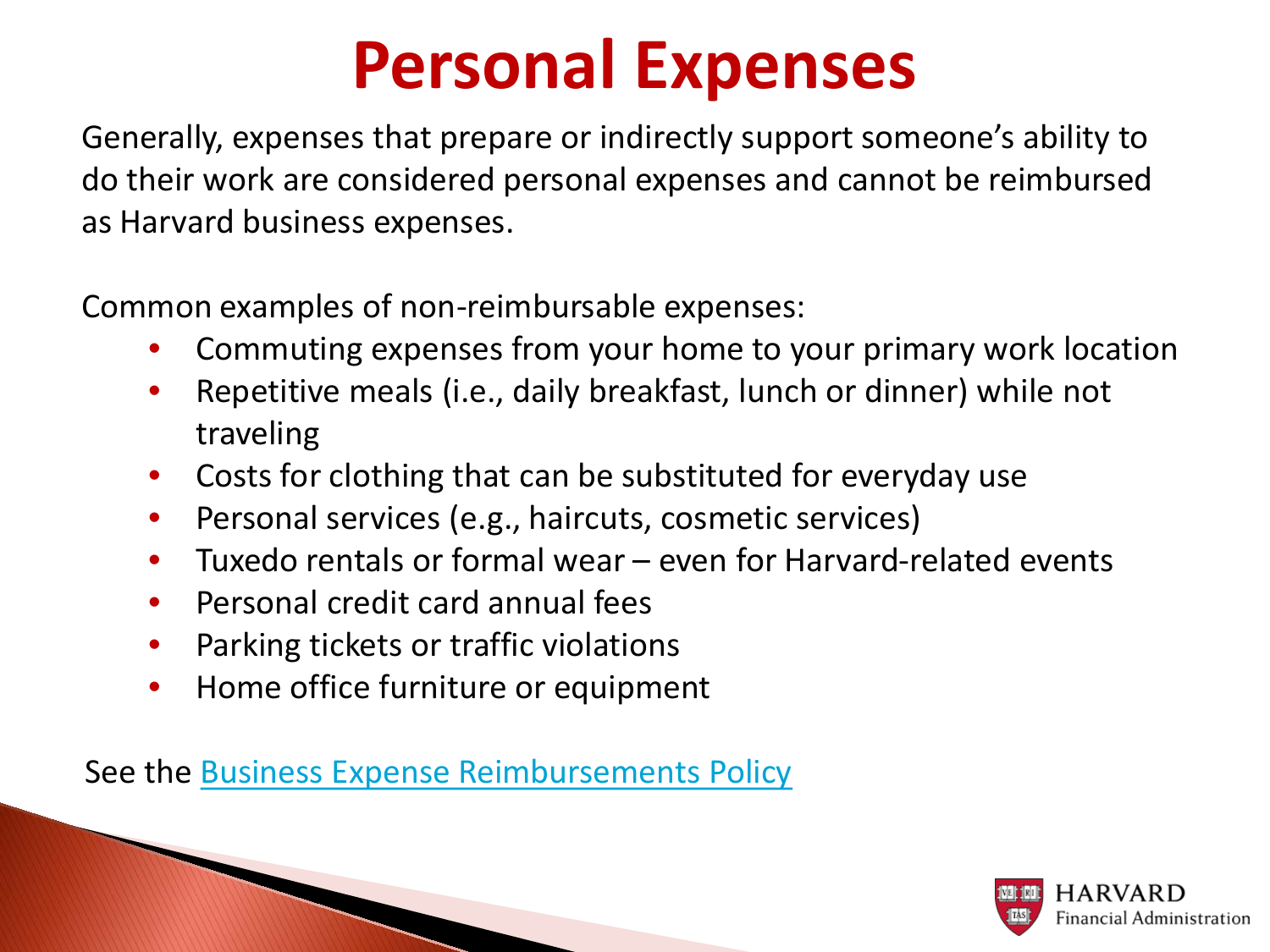## **Personal Expenses**

Generally, expenses that prepare or indirectly support someone's ability to do their work are considered personal expenses and cannot be reimbursed as Harvard business expenses.

Common examples of non-reimbursable expenses:

- Commuting expenses from your home to your primary work location
- Repetitive meals (i.e., daily breakfast, lunch or dinner) while not traveling
- Costs for clothing that can be substituted for everyday use
- Personal services (e.g., haircuts, cosmetic services)
- Tuxedo rentals or formal wear even for Harvard-related events
- Personal credit card annual fees

- Parking tickets or traffic violations
- Home office furniture or equipment

See the [Business Expense Reimbursements Policy](https://policies.fad.harvard.edu/pages/business_expense_reimbursements)

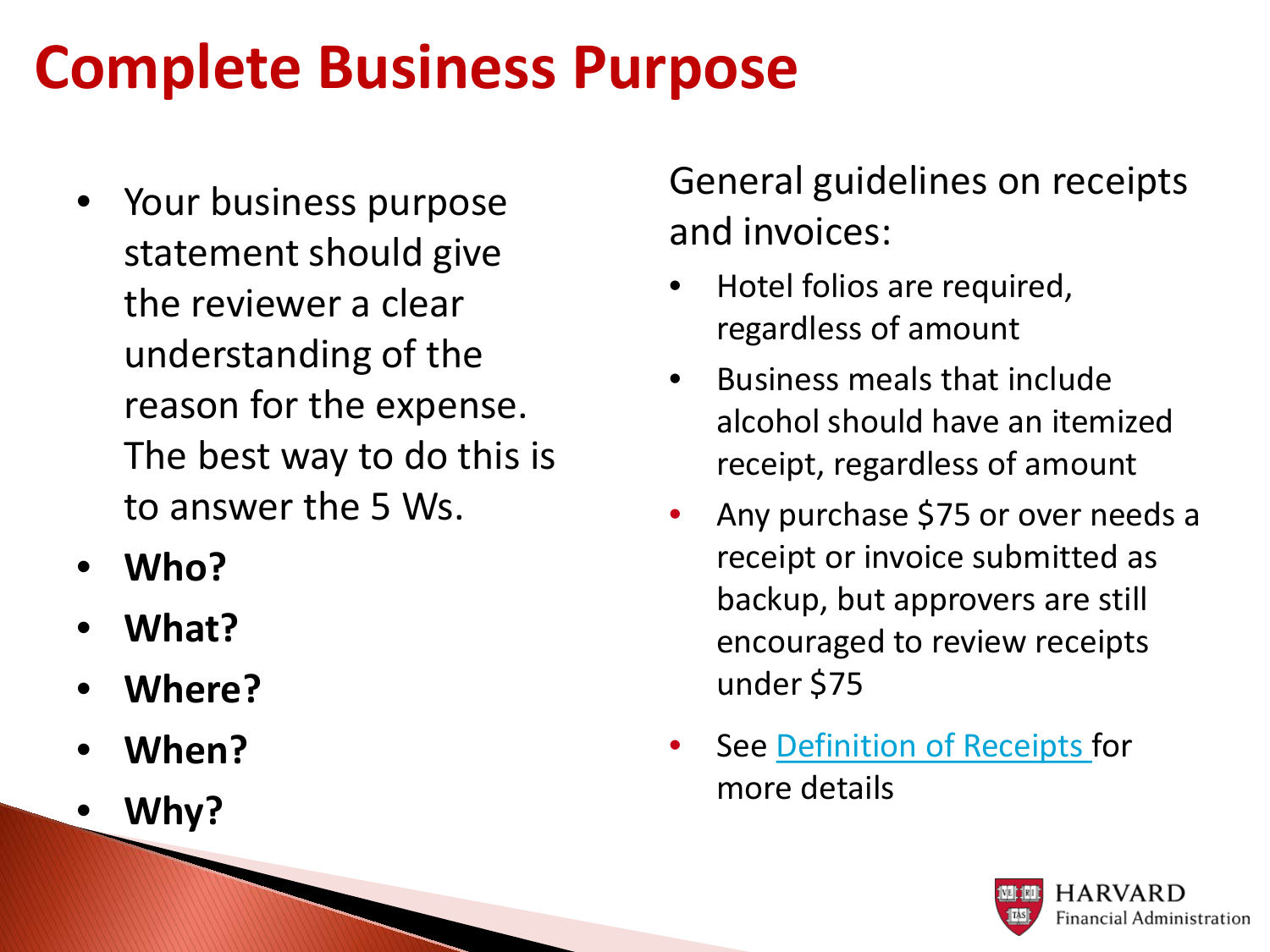## **Complete Business Purpose**

- Your business purpose statement should give the reviewer a clear understanding of the reason for the expense. The best way to do this is to answer the 5 Ws.
- **Who?**
- **What?**
- **Where?**
- **When?**
- **Why?**

General guidelines on receipts and invoices:

- Hotel folios are required, regardless of amount
- Business meals that include alcohol should have an itemized receipt, regardless of amount
- Any purchase \$75 or over needs a receipt or invoice submitted as backup, but approvers are still encouraged to review receipts under \$75
- See [Definition of Receipts](https://policies.fad.harvard.edu/files/fad_policies/files/receipt_definitions_website.pdf) for more details

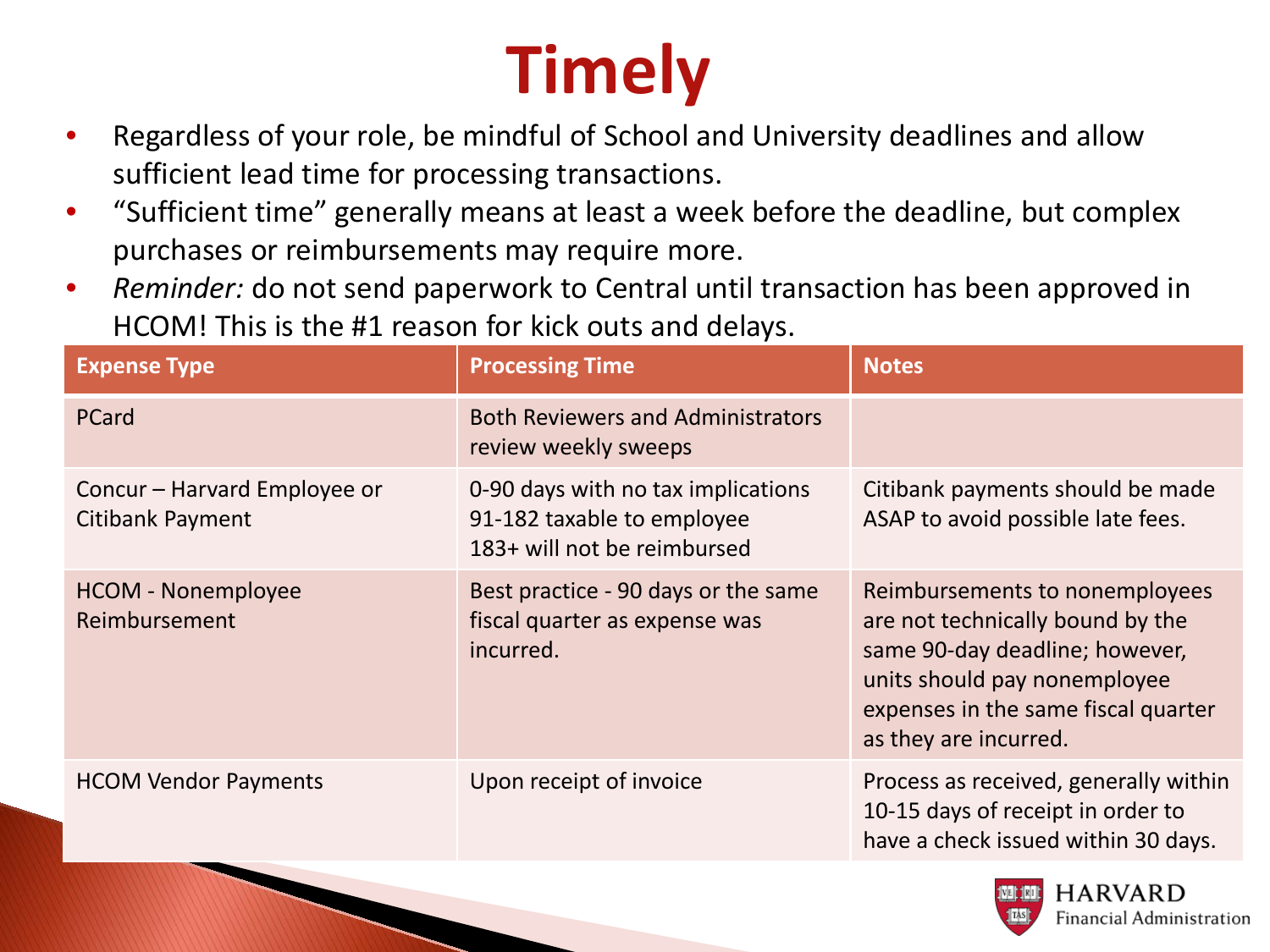# **Timely**

- Regardless of your role, be mindful of School and University deadlines and allow sufficient lead time for processing transactions.
- "Sufficient time" generally means at least a week before the deadline, but complex purchases or reimbursements may require more.
- *Reminder:* do not send paperwork to Central until transaction has been approved in HCOM! This is the #1 reason for kick outs and delays.

| <b>Processing Time</b>                                                                          | <b>Notes</b>                                                                                                                                                                                         |
|-------------------------------------------------------------------------------------------------|------------------------------------------------------------------------------------------------------------------------------------------------------------------------------------------------------|
| <b>Both Reviewers and Administrators</b><br>review weekly sweeps                                |                                                                                                                                                                                                      |
| 0-90 days with no tax implications<br>91-182 taxable to employee<br>183+ will not be reimbursed | Citibank payments should be made<br>ASAP to avoid possible late fees.                                                                                                                                |
| Best practice - 90 days or the same<br>fiscal quarter as expense was<br>incurred.               | Reimbursements to nonemployees<br>are not technically bound by the<br>same 90-day deadline; however,<br>units should pay nonemployee<br>expenses in the same fiscal quarter<br>as they are incurred. |
| Upon receipt of invoice                                                                         | Process as received, generally within<br>10-15 days of receipt in order to<br>have a check issued within 30 days.                                                                                    |
|                                                                                                 |                                                                                                                                                                                                      |

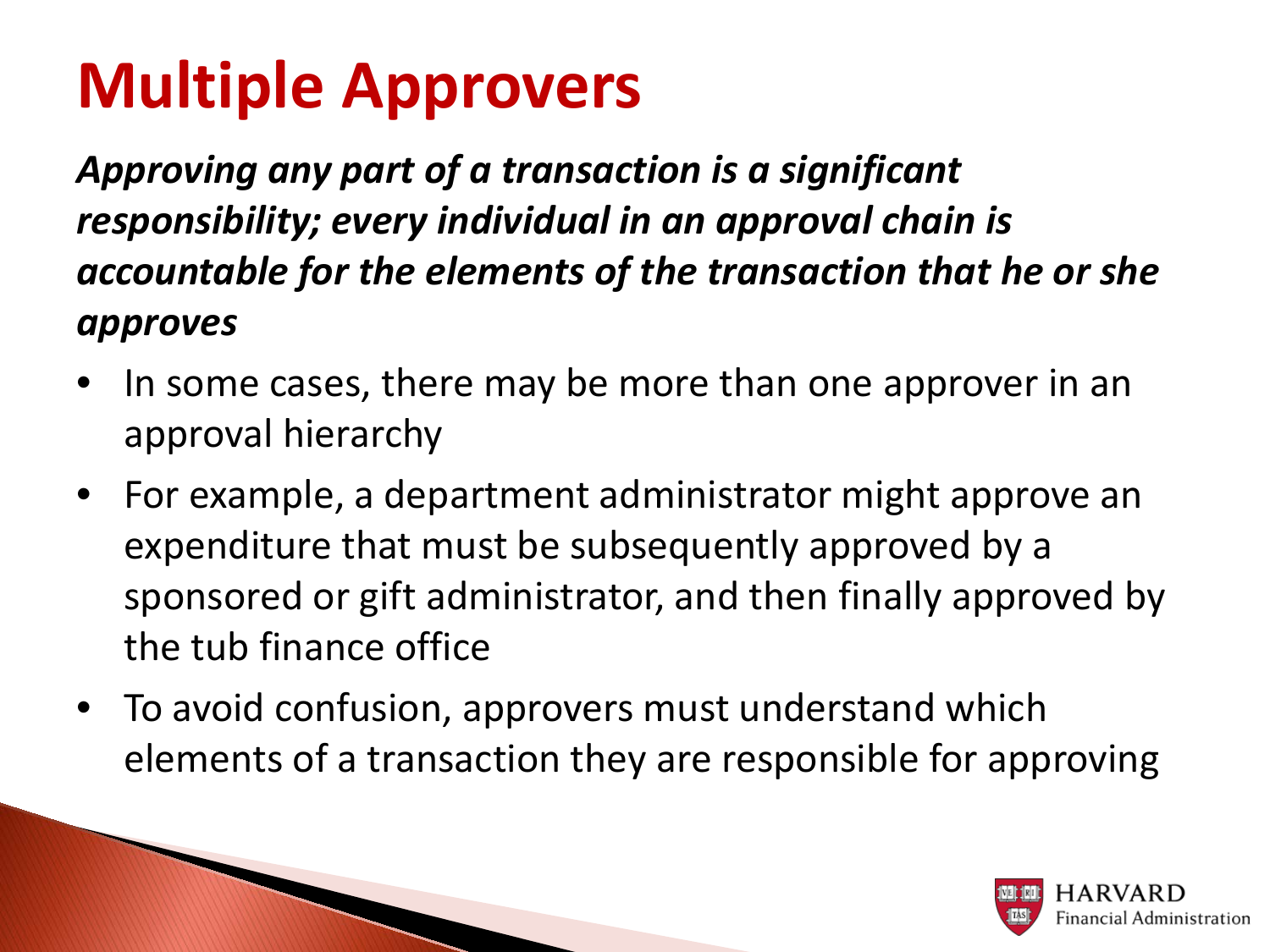# **Multiple Approvers**

*Approving any part of a transaction is a significant responsibility; every individual in an approval chain is accountable for the elements of the transaction that he or she approves*

- In some cases, there may be more than one approver in an approval hierarchy
- For example, a department administrator might approve an expenditure that must be subsequently approved by a sponsored or gift administrator, and then finally approved by the tub finance office
- To avoid confusion, approvers must understand which elements of a transaction they are responsible for approving

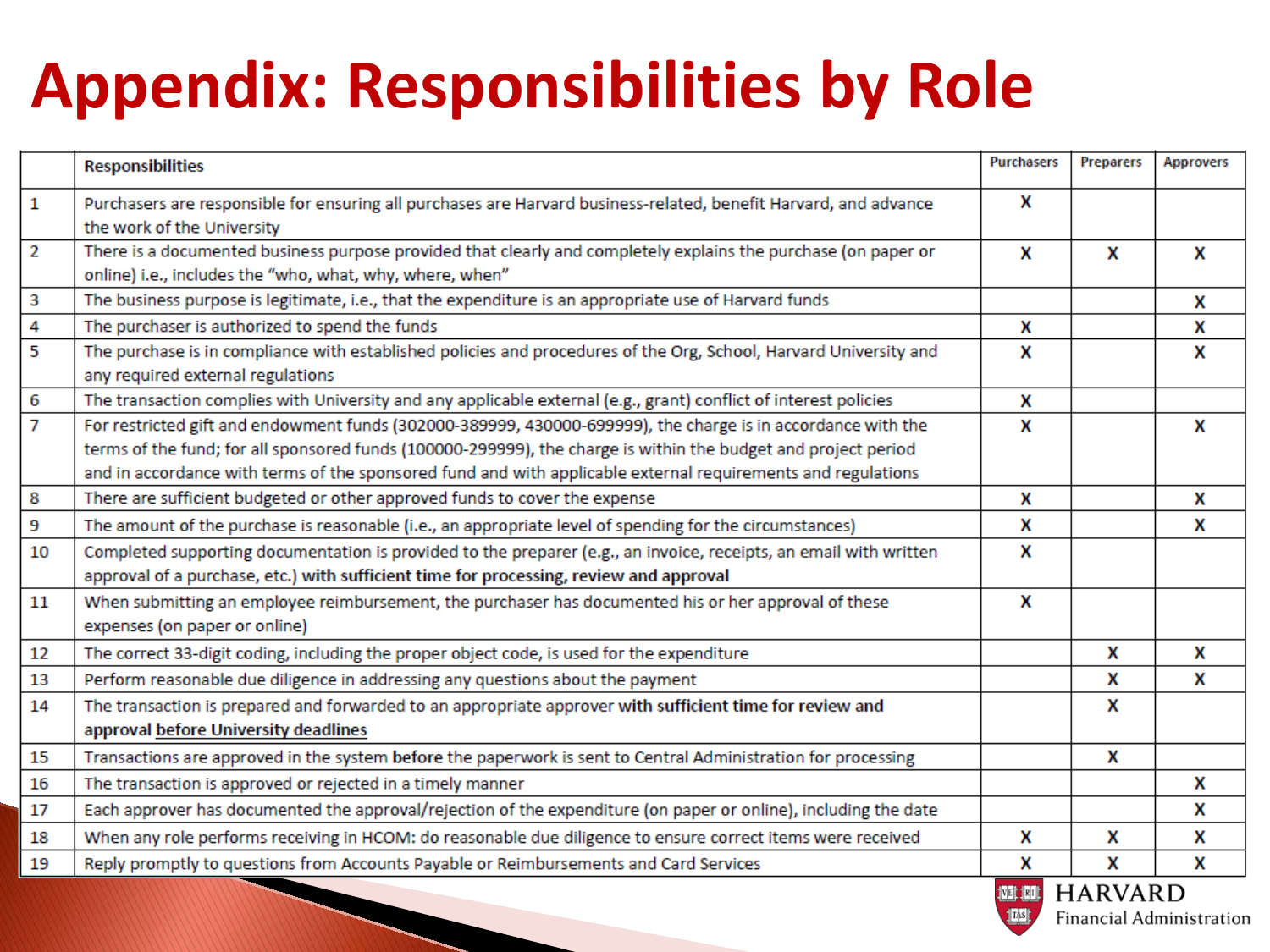# **Appendix: Responsibilities by Role**

|              | <b>Responsibilities</b>                                                                                                                                | Purchasers | <b>Preparers</b>                                                                                        | <b>Approvers</b> |
|--------------|--------------------------------------------------------------------------------------------------------------------------------------------------------|------------|---------------------------------------------------------------------------------------------------------|------------------|
| $\mathbf{1}$ | Purchasers are responsible for ensuring all purchases are Harvard business-related, benefit Harvard, and advance                                       | X          |                                                                                                         |                  |
|              | the work of the University                                                                                                                             |            |                                                                                                         |                  |
| 2            | There is a documented business purpose provided that clearly and completely explains the purchase (on paper or                                         | X          | X                                                                                                       | X                |
|              | online) i.e., includes the "who, what, why, where, when"                                                                                               |            |                                                                                                         |                  |
| 3            | The business purpose is legitimate, i.e., that the expenditure is an appropriate use of Harvard funds                                                  |            |                                                                                                         | X                |
| 4            | The purchaser is authorized to spend the funds                                                                                                         | X          |                                                                                                         | X                |
| 5            | The purchase is in compliance with established policies and procedures of the Org, School, Harvard University and<br>any required external regulations | X          |                                                                                                         | X                |
| 6            | The transaction complies with University and any applicable external (e.g., grant) conflict of interest policies                                       | X          |                                                                                                         |                  |
| 7            | For restricted gift and endowment funds (302000-389999, 430000-699999), the charge is in accordance with the                                           | X          |                                                                                                         | x                |
|              | terms of the fund; for all sponsored funds (100000-299999), the charge is within the budget and project period                                         |            |                                                                                                         |                  |
|              | and in accordance with terms of the sponsored fund and with applicable external requirements and regulations                                           |            |                                                                                                         |                  |
| 8            | There are sufficient budgeted or other approved funds to cover the expense                                                                             | X          |                                                                                                         | X                |
| 9            | The amount of the purchase is reasonable (i.e., an appropriate level of spending for the circumstances)                                                | X          |                                                                                                         | X                |
| 10           | Completed supporting documentation is provided to the preparer (e.g., an invoice, receipts, an email with written                                      | X          |                                                                                                         |                  |
|              | approval of a purchase, etc.) with sufficient time for processing, review and approval                                                                 |            |                                                                                                         |                  |
| 11           | When submitting an employee reimbursement, the purchaser has documented his or her approval of these                                                   | X          |                                                                                                         |                  |
|              | expenses (on paper or online)                                                                                                                          |            |                                                                                                         |                  |
| 12           | The correct 33-digit coding, including the proper object code, is used for the expenditure                                                             |            | X                                                                                                       | X                |
| 13           | Perform reasonable due diligence in addressing any questions about the payment                                                                         |            | X                                                                                                       | X                |
| 14           | The transaction is prepared and forwarded to an appropriate approver with sufficient time for review and                                               |            | X                                                                                                       |                  |
|              | approval before University deadlines                                                                                                                   |            |                                                                                                         |                  |
| 15           | Transactions are approved in the system before the paperwork is sent to Central Administration for processing                                          |            | X                                                                                                       |                  |
| 16           | The transaction is approved or rejected in a timely manner                                                                                             |            |                                                                                                         | X                |
| 17           | Each approver has documented the approval/rejection of the expenditure (on paper or online), including the date                                        |            |                                                                                                         | X                |
| 18           | When any role performs receiving in HCOM: do reasonable due diligence to ensure correct items were received                                            | X          | x                                                                                                       | X                |
| 19           | Reply promptly to questions from Accounts Payable or Reimbursements and Card Services                                                                  | X          | X                                                                                                       | X                |
|              |                                                                                                                                                        |            | $\mathbb{R}$ $\mathbb{R}$ $\mathbb{R}$ $\mathbb{R}$ $\mathbb{R}$ $\mathbb{R}$ $\mathbb{R}$ $\mathbb{R}$ |                  |

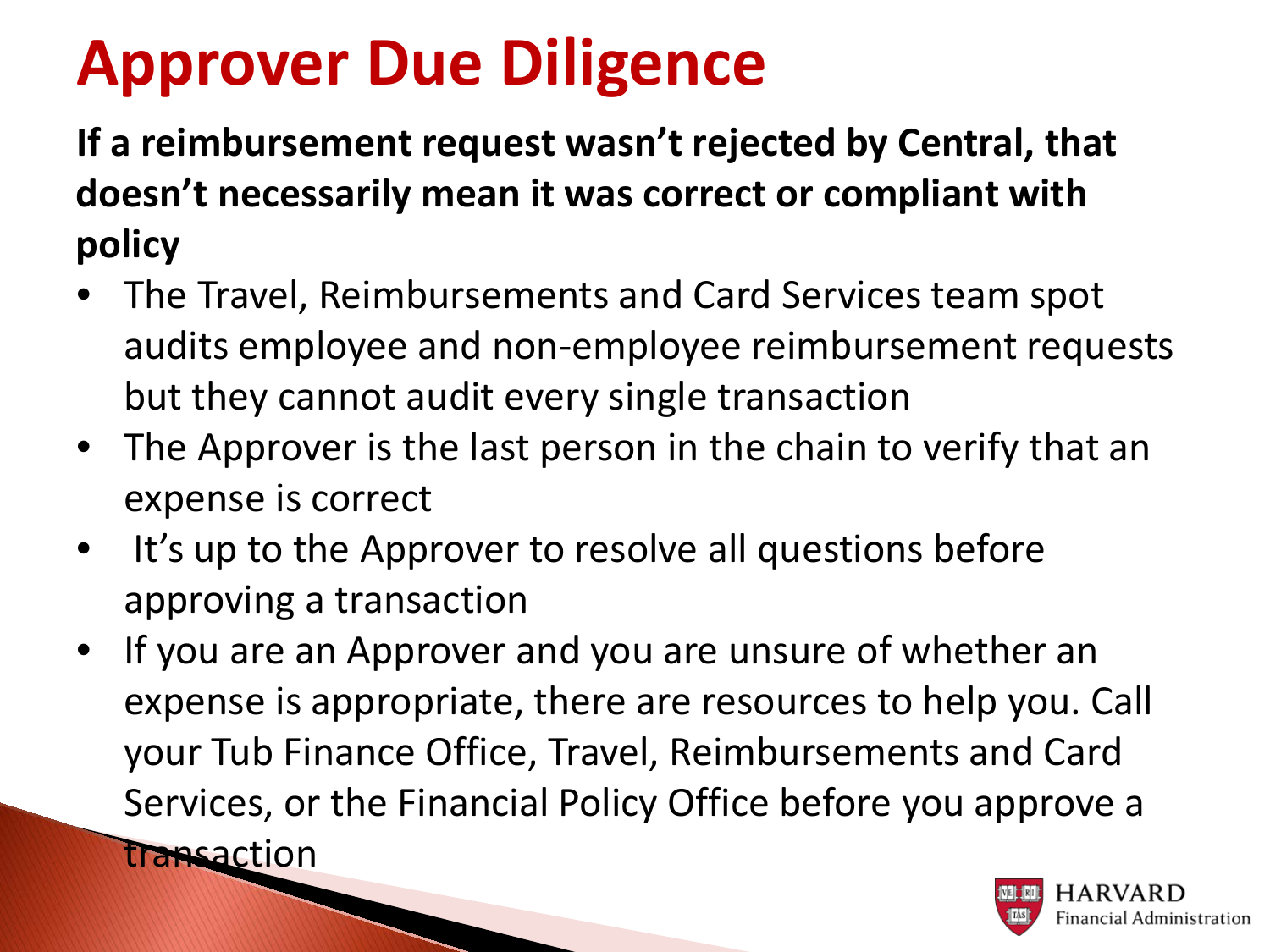# **Approver Due Diligence**

**If a reimbursement request wasn't rejected by Central, that doesn't necessarily mean it was correct or compliant with policy** 

- The Travel, Reimbursements and Card Services team spot audits employee and non-employee reimbursement requests but they cannot audit every single transaction
- The Approver is the last person in the chain to verify that an expense is correct
- It's up to the Approver to resolve all questions before approving a transaction
- If you are an Approver and you are unsure of whether an expense is appropriate, there are resources to help you. Call your Tub Finance Office, Travel, Reimbursements and Card Services, or the Financial Policy Office before you approve a transaction